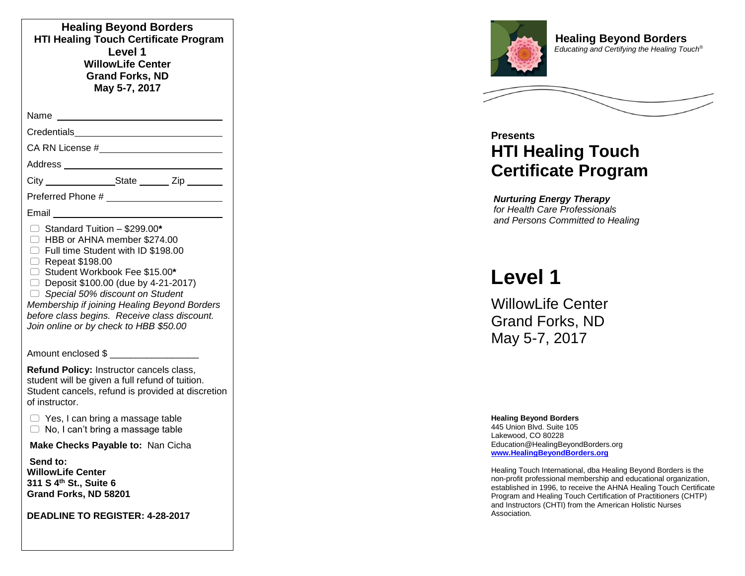| <b>Healing Beyond Borders</b><br><b>HTI Healing Touch Certificate Program</b><br>Level 1<br><b>WillowLife Center</b><br><b>Grand Forks, ND</b><br>May 5-7, 2017                                                                                                                                                                                                                                           |  |
|-----------------------------------------------------------------------------------------------------------------------------------------------------------------------------------------------------------------------------------------------------------------------------------------------------------------------------------------------------------------------------------------------------------|--|
| Name                                                                                                                                                                                                                                                                                                                                                                                                      |  |
| Credentials <u>___________________________</u>                                                                                                                                                                                                                                                                                                                                                            |  |
|                                                                                                                                                                                                                                                                                                                                                                                                           |  |
|                                                                                                                                                                                                                                                                                                                                                                                                           |  |
| City _________________State ________ Zip ________                                                                                                                                                                                                                                                                                                                                                         |  |
|                                                                                                                                                                                                                                                                                                                                                                                                           |  |
| Email                                                                                                                                                                                                                                                                                                                                                                                                     |  |
| $\Box$ Standard Tuition - \$299.00*<br>□ HBB or AHNA member \$274.00<br>Full time Student with ID \$198.00<br>$\Box$ Repeat \$198.00<br>□ Student Workbook Fee \$15.00*<br>$\Box$ Deposit \$100.00 (due by 4-21-2017)<br>$\Box$ Special 50% discount on Student<br>Membership if joining Healing Beyond Borders<br>before class begins. Receive class discount.<br>Join online or by check to HBB \$50.00 |  |
| Amount enclosed \$ ___________________                                                                                                                                                                                                                                                                                                                                                                    |  |
| Refund Policy: Instructor cancels class,<br>student will be given a full refund of tuition.<br>Student cancels, refund is provided at discretion<br>of instructor.                                                                                                                                                                                                                                        |  |
| $\supset$ Yes, I can bring a massage table<br>$\Box$ No, I can't bring a massage table                                                                                                                                                                                                                                                                                                                    |  |
| Make Checks Payable to: Nan Cicha                                                                                                                                                                                                                                                                                                                                                                         |  |
| Send to:<br><b>WillowLife Center</b><br>311 S 4 <sup>th</sup> St., Suite 6<br>Grand Forks, ND 58201                                                                                                                                                                                                                                                                                                       |  |
| <b>DEADLINE TO REGISTER: 4-28-2017</b>                                                                                                                                                                                                                                                                                                                                                                    |  |



**Healing Beyond Borders Educating and Certifying the Healing Touch<sup>®</sup>** 

## **Presents HTI Healing Touch Certificate Program**

*Nurturing Energy Therapy for Health Care Professionals and Persons Committed to Healing*

# **Level 1**

WillowLife Center Grand Forks, ND May 5 - 7, 2017

#### **Healing Beyond Borders**

445 Union Blvd. Suite 105 Lakewood, CO 80228 Education @HealingBeyondBorders.org **[www.HealingBeyondBorders.org](http://www.healingbeyondborders.org/)**

Healing Touch International, dba Healing Beyond Borders is the non -profit professional membership and educational organization , established in 1996, to receive the AHNA Healing Touch Certificate Program and Healing Touch Certification of Practitioners (CHTP) and Instructors (CHTI) from the American Holistic Nurses Association.